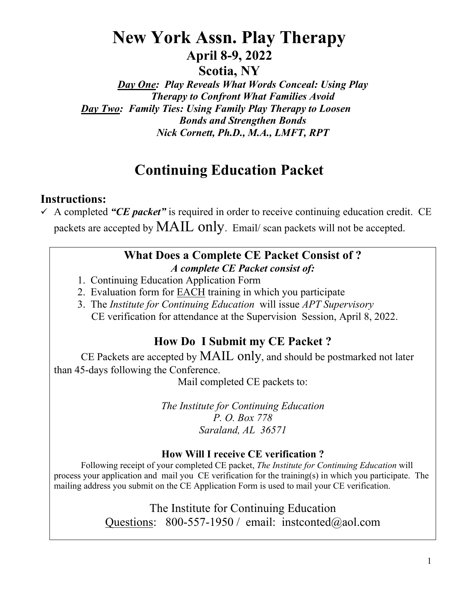# **New York Assn. Play Therapy April 8-9, 2022**

**Scotia, NY**

*Day One: Play Reveals What Words Conceal: Using Play Therapy to Confront What Families Avoid Day Two: Family Ties: Using Family Play Therapy to Loosen Bonds and Strengthen Bonds Nick Cornett, Ph.D., M.A., LMFT, RPT* 

# **Continuing Education Packet**

## **Instructions:**

 $\checkmark$  A completed "CE packet" is required in order to receive continuing education credit. CE packets are accepted by MAIL only. Email/ scan packets will not be accepted.

## **What Does a Complete CE Packet Consist of ?** *A complete CE Packet consist of:*

- 1. Continuing Education Application Form
- 2. Evaluation form for EACH training in which you participate
- 3. The *Institute for Continuing Education* will issue *APT Supervisory* CE verification for attendance at the Supervision Session, April 8, 2022.

## **How Do I Submit my CE Packet ?**

CE Packets are accepted by MAIL only, and should be postmarked not later than 45-days following the Conference.

Mail completed CE packets to:

*The Institute for Continuing Education P. O. Box 778 Saraland, AL 36571*

## **How Will I receive CE verification ?**

 Following receipt of your completed CE packet, *The Institute for Continuing Education* will process your application and mail you CE verification for the training(s) in which you participate. The mailing address you submit on the CE Application Form is used to mail your CE verification.

> The Institute for Continuing Education Questions: 800-557-1950 / email: instconted@aol.com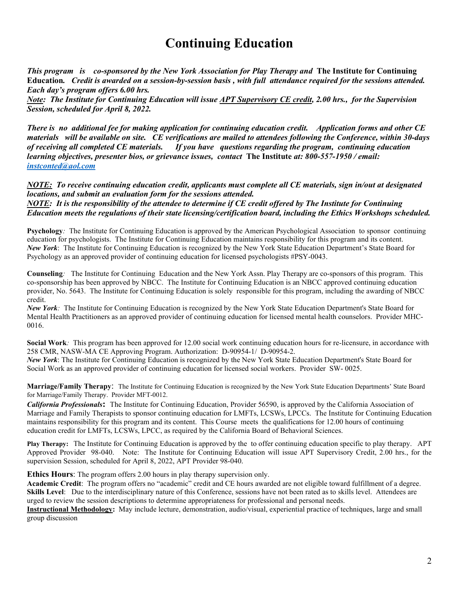## **Continuing Education**

*This program is co-sponsored by the New York Association for Play Therapy and* **The Institute for Continuing Education***. Credit is awarded on a session-by-session basis , with full attendance required for the sessions attended. Each day's program offers 6.00 hrs.* 

*Note: The Institute for Continuing Education will issue APT Supervisory CE credit, 2.00 hrs., for the Supervision Session, scheduled for April 8, 2022.* 

*There is no additional fee for making application for continuing education credit. Application forms and other CE materials will be available on site. CE verifications are mailed to attendees following the Conference, within 30-days of receiving all completed CE materials. If you have questions regarding the program, continuing education learning objectives, presenter bios, or grievance issues, contact* **The Institute** *at: 800-557-1950 / email: [instconted@aol.com](mailto:instconted@aol.com)*

*NOTE: To receive continuing education credit, applicants must complete all CE materials, sign in/out at designated locations, and submit an evaluation form for the sessions attended.* 

*NOTE: It is the responsibility of the attendee to determine if CE credit offered by The Institute for Continuing Education meets the regulations of their state licensing/certification board, including the Ethics Workshops scheduled.* 

**Psychology***:* The Institute for Continuing Education is approved by the American Psychological Association to sponsor continuing education for psychologists. The Institute for Continuing Education maintains responsibility for this program and its content. *New York*:The Institute for Continuing Education is recognized by the New York State Education Department's State Board for Psychology as an approved provider of continuing education for licensed psychologists #PSY-0043.

**Counseling***:* The Institute for Continuing Education and the New York Assn. Play Therapy are co-sponsors of this program. This co-sponsorship has been approved by NBCC. The Institute for Continuing Education is an NBCC approved continuing education provider, No. 5643. The Institute for Continuing Education is solely responsible for this program, including the awarding of NBCC credit.

*New York:* The Institute for Continuing Education is recognized by the New York State Education Department's State Board for Mental Health Practitioners as an approved provider of continuing education for licensed mental health counselors. Provider MHC-0016.

**Social Work***:* This program has been approved for 12.00 social work continuing education hours for re-licensure, in accordance with 258 CMR, NASW-MA CE Approving Program. Authorization: D-90954-1/ D-90954-2.

*New York*: The Institute for Continuing Education is recognized by the New York State Education Department's State Board for Social Work as an approved provider of continuing education for licensed social workers. Provider SW- 0025.

**Marriage/Family Therapy**: The Institute for Continuing Education is recognized by the New York State Education Departments' State Board for Marriage/Family Therapy. Provider MFT-0012.

*California Professionals***:** The Institute for Continuing Education, Provider 56590, is approved by the California Association of Marriage and Family Therapists to sponsor continuing education for LMFTs, LCSWs, LPCCs. The Institute for Continuing Education maintains responsibility for this program and its content. This Course meets the qualifications for 12.00 hours of continuing education credit for LMFTs, LCSWs, LPCC, as required by the California Board of Behavioral Sciences.

**Play Therapy:** The Institute for Continuing Education is approved by the to offer continuing education specific to play therapy. APT Approved Provider 98-040. Note: The Institute for Continuing Education will issue APT Supervisory Credit, 2.00 hrs., for the supervision Session, scheduled for April 8, 2022, APT Provider 98-040.

**Ethics Hours**: The program offers 2.00 hours in play therapy supervision only.

**Academic Credit**: The program offers no "academic" credit and CE hours awarded are not eligible toward fulfillment of a degree. **Skills Level:** Due to the interdisciplinary nature of this Conference, sessions have not been rated as to skills level. Attendees are urged to review the session descriptions to determine appropriateness for professional and personal needs.

**Instructional Methodology:** May include lecture, demonstration, audio/visual, experiential practice of techniques, large and small group discussion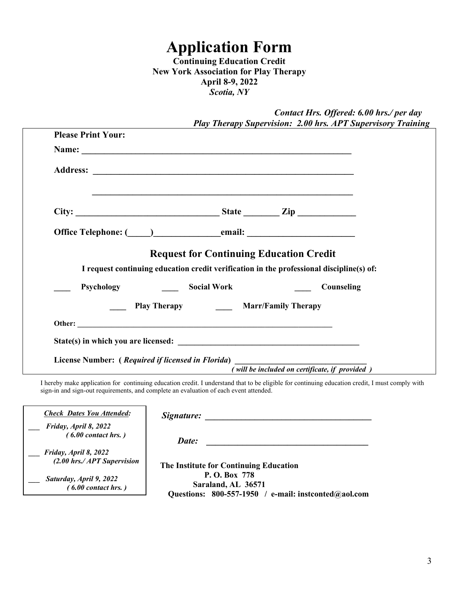# **Application Form**

**Continuing Education Credit New York Association for Play Therapy April 8-9, 2022**  *Scotia, NY* 

|                           |                        |                                                                                                                                                                                                                                      |                                                | Contact Hrs. Offered: 6.00 hrs./ per day<br><b>Play Therapy Supervision: 2.00 hrs. APT Supervisory Training</b> |
|---------------------------|------------------------|--------------------------------------------------------------------------------------------------------------------------------------------------------------------------------------------------------------------------------------|------------------------------------------------|-----------------------------------------------------------------------------------------------------------------|
| <b>Please Print Your:</b> |                        |                                                                                                                                                                                                                                      |                                                |                                                                                                                 |
|                           |                        |                                                                                                                                                                                                                                      |                                                |                                                                                                                 |
|                           |                        |                                                                                                                                                                                                                                      |                                                |                                                                                                                 |
|                           |                        | <u> 1989 - Johann Stoff, amerikansk politiker (* 1908)</u>                                                                                                                                                                           |                                                |                                                                                                                 |
|                           |                        | Office Telephone: ( <u>Our community</u> contains contained a contact of the contact of the contact of the contact of the contact of the contact of the contact of the contact of the contact of the contact of the contact of the c |                                                |                                                                                                                 |
|                           |                        | <b>Request for Continuing Education Credit</b><br>I request continuing education credit verification in the professional discipline(s) of:                                                                                           |                                                |                                                                                                                 |
|                           | Psychology Social Work |                                                                                                                                                                                                                                      |                                                | Counseling                                                                                                      |
|                           |                        | Play Therapy Marr/Family Therapy                                                                                                                                                                                                     |                                                |                                                                                                                 |
|                           |                        |                                                                                                                                                                                                                                      |                                                |                                                                                                                 |
|                           |                        |                                                                                                                                                                                                                                      |                                                |                                                                                                                 |
|                           |                        | License Number: (Required if licensed in Florida)                                                                                                                                                                                    | (will be included on certificate, if provided) |                                                                                                                 |

I hereby make application for continuing education credit. I understand that to be eligible for continuing education credit, I must comply with sign-in and sign-out requirements, and complete an evaluation of each event attended.

| <b>Check Dates You Attended:</b>                      | Signature:                                                                                    |
|-------------------------------------------------------|-----------------------------------------------------------------------------------------------|
| Friday, April 8, 2022<br>$(6.00$ contact hrs.)        | Date:                                                                                         |
| Friday, April 8, 2022<br>$(2.00$ hrs./APT Supervision | The Institute for Continuing Education                                                        |
| Saturday, April 9, 2022<br>$(6.00$ contact hrs.)      | P. O. Box 778<br>Saraland, AL 36571<br>Questions: $800-557-1950$ / e-mail: instconted@aol.com |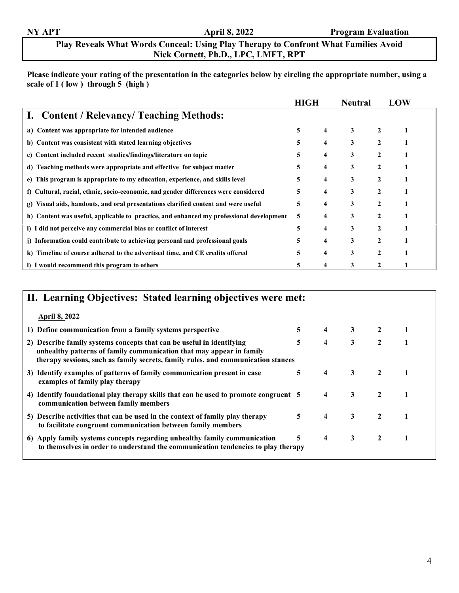### **Play Reveals What Words Conceal: Using Play Therapy to Confront What Families Avoid Nick Cornett, Ph.D., LPC, LMFT, RPT**

**Please indicate your rating of the presentation in the categories below by circling the appropriate number, using a scale of 1 ( low ) through 5 (high )**

|                                                                                         | <b>HIGH</b> |                     | <b>Neutral</b> |                | LOW |
|-----------------------------------------------------------------------------------------|-------------|---------------------|----------------|----------------|-----|
| I. Content / Relevancy/ Teaching Methods:                                               |             |                     |                |                |     |
| a) Content was appropriate for intended audience                                        | 5           | $\overline{4}$      | 3              | $\mathbf{2}$   |     |
| b) Content was consistent with stated learning objectives                               | 5           | $\overline{4}$      | 3              | 2              |     |
| c) Content included recent studies/findings/literature on topic                         | 5           | 4                   | 3              | $\mathbf{2}$   |     |
| d) Teaching methods were appropriate and effective for subject matter                   | 5           | $\overline{\bf{4}}$ | 3              | $\mathbf{2}$   |     |
| e) This program is appropriate to my education, experience, and skills level            | 5           | 4                   | 3              |                |     |
| f) Cultural, racial, ethnic, socio-economic, and gender differences were considered     | 5           | 4                   | 3              | $\mathfrak{D}$ |     |
| Visual aids, handouts, and oral presentations clarified content and were useful<br>g)   | 5           | 4                   | 3              | 2              |     |
| h) Content was useful, applicable to practice, and enhanced my professional development | 5           | 4                   | 3              | $\mathbf{2}$   |     |
| i) I did not perceive any commercial bias or conflict of interest                       | 5           | 4                   | 3              | $\mathbf{2}$   |     |
| j) Information could contribute to achieving personal and professional goals            | 5           | $\overline{4}$      | 3              | $\mathbf{2}$   |     |
| k) Timeline of course adhered to the advertised time, and CE credits offered            | 5           | $\overline{\bf{4}}$ | 3              | $\mathbf{2}$   |     |
| I) I would recommend this program to others                                             | 5           | 4                   | 3              |                |     |

## **II. Learning Objectives: Stated learning objectives were met: April 8, 2022 1) Define communication from a family systems perspective 5 4 3 2 1 2) Describe family systems concepts that can be useful in identifying 5 4 3 2 1 unhealthy patterns of family communication that may appear in family therapy sessions, such as family secrets, family rules, and communication stances 3) Identify examples of patterns of family communication present in case 5 4 3 2 1 examples of family play therapy 4) Identify foundational play therapy skills that can be used to promote congruent 5 4 3 2 1 communication between family members 5) Describe activities that can be used in the context of family play therapy 5 4 3 2 1 to facilitate congruent communication between family members 6) Apply family systems concepts regarding unhealthy family communication 5 4 3 2 1 to themselves in order to understand the communication tendencies to play therapy**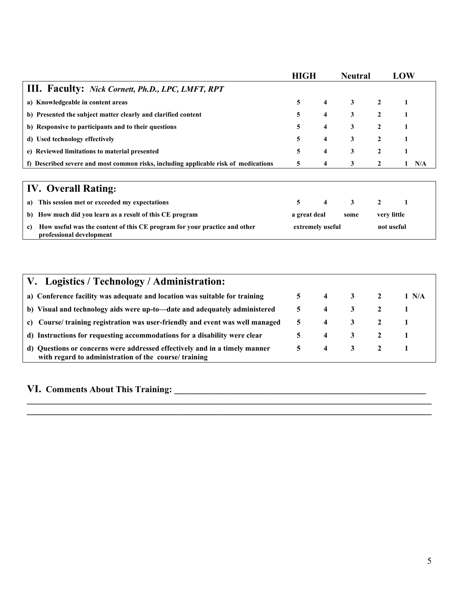|                                                                                     | <b>HIGH</b> |                | <b>Neutral</b> |                | LOW |     |
|-------------------------------------------------------------------------------------|-------------|----------------|----------------|----------------|-----|-----|
| <b>III.</b> Faculty: Nick Cornett, Ph.D., LPC, LMFT, RPT                            |             |                |                |                |     |     |
| a) Knowledgeable in content areas                                                   | 5.          | $\overline{4}$ | $3\qquad 2$    |                |     |     |
| b) Presented the subject matter clearly and clarified content                       | 5           | $\overline{4}$ | $\mathbf{3}$   |                |     |     |
| b) Responsive to participants and to their questions                                | 5           | $\overline{4}$ | 3              | 2              |     |     |
| d) Used technology effectively                                                      | 5           | 4              | 3              | $\overline{2}$ |     |     |
| e) Reviewed limitations to material presented                                       | 5           | 4              | 3              | 2              |     |     |
| f) Described severe and most common risks, including applicable risk of medications | 5           | 4              |                |                |     | N/A |
|                                                                                     |             |                |                |                |     |     |

## **IV. Overall Rating:**

| a) This session met or exceeded my expectations                                                          | $\sim$           | 4 | $\overline{\mathbf{3}}$ |             |            |  |
|----------------------------------------------------------------------------------------------------------|------------------|---|-------------------------|-------------|------------|--|
| b) How much did you learn as a result of this CE program                                                 | a great deal     |   | some                    | very little |            |  |
| c) How useful was the content of this CE program for your practice and other<br>professional development | extremely useful |   |                         |             | not useful |  |

| V. Logistics / Technology / Administration:                                                                                         |             |                         |                         |       |
|-------------------------------------------------------------------------------------------------------------------------------------|-------------|-------------------------|-------------------------|-------|
| a) Conference facility was adequate and location was suitable for training                                                          |             | $5 \quad 4$             | 3 2                     | 1 N/A |
| b) Visual and technology aids were up-to-date and adequately administered                                                           | 5.          | $\overline{4}$          | $\overline{\mathbf{3}}$ |       |
| c) Course/ training registration was user-friendly and event was well managed                                                       | 5           | $\overline{\mathbf{4}}$ | 3 2                     |       |
| d) Instructions for requesting accommodations for a disability were clear                                                           | 5.          | $\overline{4}$          | 3 2                     |       |
| d) Questions or concerns were addressed effectively and in a timely manner<br>with regard to administration of the course/ training | $5^{\circ}$ | $\overline{4}$          | $\frac{3}{2}$           |       |

**\_\_\_\_\_\_\_\_\_\_\_\_\_\_\_\_\_\_\_\_\_\_\_\_\_\_\_\_\_\_\_\_\_\_\_\_\_\_\_\_\_\_\_\_\_\_\_\_\_\_\_\_\_\_\_\_\_\_\_\_\_\_\_\_\_\_\_\_\_\_\_\_\_\_\_\_\_\_\_\_\_\_\_\_\_\_\_\_\_\_ \_\_\_\_\_\_\_\_\_\_\_\_\_\_\_\_\_\_\_\_\_\_\_\_\_\_\_\_\_\_\_\_\_\_\_\_\_\_\_\_\_\_\_\_\_\_\_\_\_\_\_\_\_\_\_\_\_\_\_\_\_\_\_\_\_\_\_\_\_\_\_\_\_\_\_\_\_\_\_\_\_\_\_\_\_\_\_\_\_\_** 

# **VI. Comments About This Training: \_\_\_\_\_\_\_\_\_\_\_\_\_\_\_\_\_\_\_\_\_\_\_\_\_\_\_\_\_\_\_\_\_\_\_\_\_\_\_\_\_\_\_\_\_\_\_\_\_\_\_\_\_\_\_\_**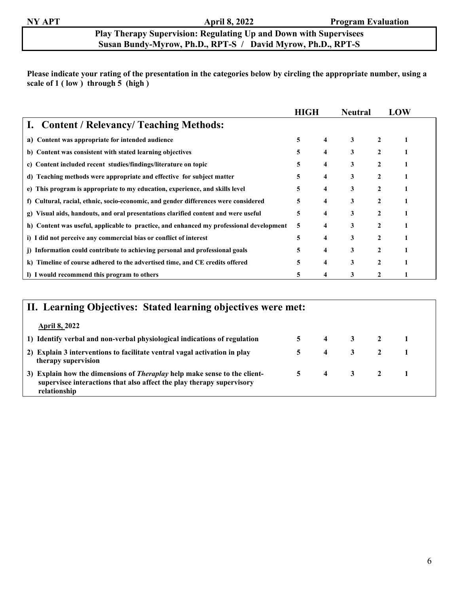### **Play Therapy Supervision: Regulating Up and Down with Supervisees Susan Bundy-Myrow, Ph.D., RPT-S / David Myrow, Ph.D., RPT-S**

**Please indicate your rating of the presentation in the categories below by circling the appropriate number, using a scale of 1 ( low ) through 5 (high )** 

|                                                                                         | <b>HIGH</b> |                         | <b>Neutral</b> |              | LOW |
|-----------------------------------------------------------------------------------------|-------------|-------------------------|----------------|--------------|-----|
| I. Content / Relevancy/ Teaching Methods:                                               |             |                         |                |              |     |
| Content was appropriate for intended audience<br>a)                                     | 5           | $\overline{\mathbf{4}}$ | 3              | $\mathbf{2}$ |     |
| b) Content was consistent with stated learning objectives                               | 5.          | 4                       | 3              |              |     |
| c) Content included recent studies/findings/literature on topic                         | 5           | 4                       | 3              | 2            |     |
| d) Teaching methods were appropriate and effective for subject matter                   | 5           | 4                       | 3              | $\mathbf{2}$ |     |
| e) This program is appropriate to my education, experience, and skills level            | 5           | 4                       | 3              |              |     |
| f) Cultural, racial, ethnic, socio-economic, and gender differences were considered     | 5           | 4                       | 3              | $\mathbf{2}$ |     |
| Visual aids, handouts, and oral presentations clarified content and were useful<br>g)   | 5           | 4                       | 3              | 2            |     |
| h) Content was useful, applicable to practice, and enhanced my professional development | 5           | 4                       | 3              |              |     |
| i) I did not perceive any commercial bias or conflict of interest                       | 5           | 4                       | 3              | $\mathbf{2}$ |     |
| j) Information could contribute to achieving personal and professional goals            | 5           | 4                       | 3              | 2            |     |
| k) Timeline of course adhered to the advertised time, and CE credits offered            | 5           | 4                       | 3              | $\mathbf{2}$ |     |
| I) I would recommend this program to others                                             |             | 4                       | 3              | 2            |     |

| II. Learning Objectives: Stated learning objectives were met:                                                                                                             |                |                |                         |  |  |  |  |  |  |
|---------------------------------------------------------------------------------------------------------------------------------------------------------------------------|----------------|----------------|-------------------------|--|--|--|--|--|--|
| <b>April 8, 2022</b>                                                                                                                                                      |                |                |                         |  |  |  |  |  |  |
| 1) Identify verbal and non-verbal physiological indications of regulation                                                                                                 |                |                | $5 \t 4 \t 3 \t 2 \t 1$ |  |  |  |  |  |  |
| 2) Explain 3 interventions to facilitate ventral vagal activation in play<br>therapy supervision                                                                          | 5.             | $\overline{4}$ | 3 2                     |  |  |  |  |  |  |
| 3) Explain how the dimensions of <i>Theraplay</i> help make sense to the client-<br>supervisee interactions that also affect the play therapy supervisory<br>relationship | 5 <sup>5</sup> |                | 4 3 2                   |  |  |  |  |  |  |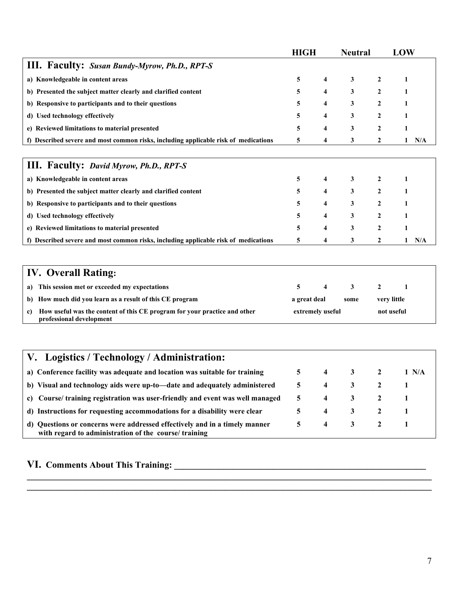|                                                                                     | <b>HIGH</b> |                         | <b>Neutral</b> |              | LOW      |
|-------------------------------------------------------------------------------------|-------------|-------------------------|----------------|--------------|----------|
| <b>III.</b> Faculty: Susan Bundy-Myrow, Ph.D., RPT-S                                |             |                         |                |              |          |
| a) Knowledgeable in content areas                                                   | 5           | $\overline{\mathbf{4}}$ | 3              | $\mathbf{2}$ |          |
| b) Presented the subject matter clearly and clarified content                       | 5           | 4                       | 3              | 2            |          |
| b) Responsive to participants and to their questions                                | 5           | 4                       | 3              | 2            |          |
| d) Used technology effectively                                                      | 5           | 4                       | 3              | 2            |          |
| e) Reviewed limitations to material presented                                       | 5           | 4                       | 3              | 2            |          |
| f) Described severe and most common risks, including applicable risk of medications | 5.          | 4                       | 3              | $\mathbf{2}$ | N/A<br>1 |
|                                                                                     |             |                         |                |              |          |
| <b>III. Faculty: David Myrow, Ph.D., RPT-S</b>                                      |             |                         |                |              |          |
| a) Knowledgeable in content areas                                                   | 5           | 4                       | 3              | $\mathbf{2}$ |          |
| b) Presented the subject matter clearly and clarified content                       | 5           | 4                       | $\mathbf{3}$   | $\mathbf{2}$ |          |
| b) Responsive to participants and to their questions                                | 5           | 4                       | 3              | $\mathbf{2}$ |          |
| d) Used technology effectively                                                      | 5           | 4                       | 3              | 2            |          |
| e) Reviewed limitations to material presented                                       | 5           | 4                       | 3              | 2            |          |
| f) Described severe and most common risks, including applicable risk of medications | 5           | 4                       | 3              | 2            | N/A      |

## **IV. Overall Rating: a) This session met or exceeded my expectations 5 4 3 2 1 b)** How much did you learn as a result of this CE program and a great deal a great deal wery little **c) How useful was the content of this CE program for your practice and other extremely useful not useful professional development**

| V. Logistics / Technology / Administration:                                                                                         |    |   |                         |       |
|-------------------------------------------------------------------------------------------------------------------------------------|----|---|-------------------------|-------|
| a) Conference facility was adequate and location was suitable for training                                                          |    | 4 | $\overline{\mathbf{3}}$ | 1 N/A |
| b) Visual and technology aids were up-to-date and adequately administered                                                           | 5. | 4 | 3                       |       |
| c) Course/ training registration was user-friendly and event was well managed                                                       | 5. | 4 | 3                       |       |
| d) Instructions for requesting accommodations for a disability were clear                                                           |    | 4 | 3                       |       |
| d) Questions or concerns were addressed effectively and in a timely manner<br>with regard to administration of the course/ training | 5. | 4 | $\overline{\mathbf{3}}$ |       |

**\_\_\_\_\_\_\_\_\_\_\_\_\_\_\_\_\_\_\_\_\_\_\_\_\_\_\_\_\_\_\_\_\_\_\_\_\_\_\_\_\_\_\_\_\_\_\_\_\_\_\_\_\_\_\_\_\_\_\_\_\_\_\_\_\_\_\_\_\_\_\_\_\_\_\_\_\_\_\_\_\_\_\_\_\_\_\_\_\_\_ \_\_\_\_\_\_\_\_\_\_\_\_\_\_\_\_\_\_\_\_\_\_\_\_\_\_\_\_\_\_\_\_\_\_\_\_\_\_\_\_\_\_\_\_\_\_\_\_\_\_\_\_\_\_\_\_\_\_\_\_\_\_\_\_\_\_\_\_\_\_\_\_\_\_\_\_\_\_\_\_\_\_\_\_\_\_\_\_\_\_** 

### **VI. Comments About This Training:**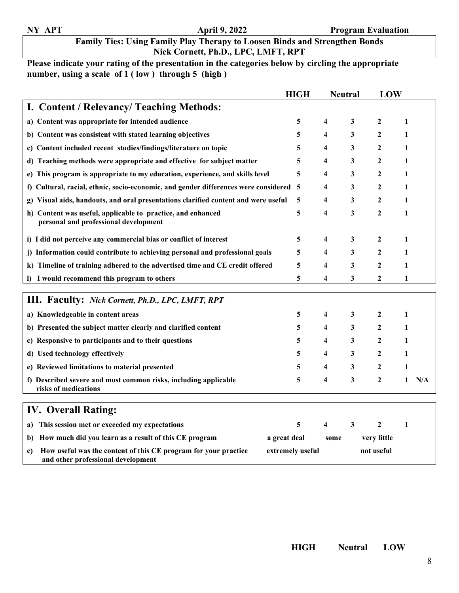## **Family Ties: Using Family Play Therapy to Loosen Binds and Strengthen Bonds Nick Cornett, Ph.D., LPC, LMFT, RPT**

## **Please indicate your rating of the presentation in the categories below by circling the appropriate number, using a scale of 1 ( low ) through 5 (high )**

|                                                                                                             | <b>HIGH</b>      | <b>Neutral</b> |   | LOW              |   |     |
|-------------------------------------------------------------------------------------------------------------|------------------|----------------|---|------------------|---|-----|
| I. Content / Relevancy/ Teaching Methods:                                                                   |                  |                |   |                  |   |     |
| a) Content was appropriate for intended audience                                                            | 5                | $\overline{4}$ | 3 | $\overline{2}$   | 1 |     |
| b) Content was consistent with stated learning objectives                                                   | 5                | 4              | 3 | 2                | 1 |     |
| Content included recent studies/findings/literature on topic<br>c)                                          | 5                | 4              | 3 | $\mathbf{2}$     | 1 |     |
| Teaching methods were appropriate and effective for subject matter<br>d)                                    | 5                | 4              | 3 | $\mathbf{2}$     | 1 |     |
| e) This program is appropriate to my education, experience, and skills level                                | 5                | 4              | 3 | 2                | 1 |     |
| f) Cultural, racial, ethnic, socio-economic, and gender differences were considered 5                       |                  | 4              | 3 | 2                | 1 |     |
| Visual aids, handouts, and oral presentations clarified content and were useful<br>g)                       | 5                | 4              | 3 | 2                | 1 |     |
| h) Content was useful, applicable to practice, and enhanced<br>personal and professional development        | 5                | 4              | 3 | $\mathbf{2}$     | 1 |     |
| i) I did not perceive any commercial bias or conflict of interest                                           | 5                | 4              | 3 | $\mathbf{2}$     | 1 |     |
| j) Information could contribute to achieving personal and professional goals                                | 5                | 4              | 3 | $\mathbf{2}$     | 1 |     |
| k) Timeline of training adhered to the advertised time and CE credit offered                                | 5                | 4              | 3 | $\mathbf{2}$     | 1 |     |
| I) I would recommend this program to others                                                                 | 5                | 4              | 3 | $\boldsymbol{2}$ | 1 |     |
|                                                                                                             |                  |                |   |                  |   |     |
| <b>III.</b> Faculty: Nick Cornett, Ph.D., LPC, LMFT, RPT                                                    |                  |                |   |                  |   |     |
| a) Knowledgeable in content areas                                                                           | 5                | 4              | 3 | $\overline{2}$   | 1 |     |
| b) Presented the subject matter clearly and clarified content                                               | 5                | 4              | 3 | 2                | 1 |     |
| c) Responsive to participants and to their questions                                                        | 5                | 4              | 3 | 2                | 1 |     |
| d) Used technology effectively                                                                              | 5                | 4              | 3 | $\mathbf{2}$     | 1 |     |
| e) Reviewed limitations to material presented                                                               | 5                | 4              | 3 | $\mathbf{2}$     | 1 |     |
| f) Described severe and most common risks, including applicable<br>risks of medications                     | 5                | 4              | 3 | $\boldsymbol{2}$ | 1 | N/A |
| <b>IV.</b> Overall Rating:                                                                                  |                  |                |   |                  |   |     |
| This session met or exceeded my expectations<br>a)                                                          | 5                | 4              | 3 | $\overline{2}$   | 1 |     |
| How much did you learn as a result of this CE program<br>b)                                                 | a great deal     | some           |   | very little      |   |     |
| How useful was the content of this CE program for your practice<br>c)<br>and other professional development | extremely useful |                |   | not useful       |   |     |